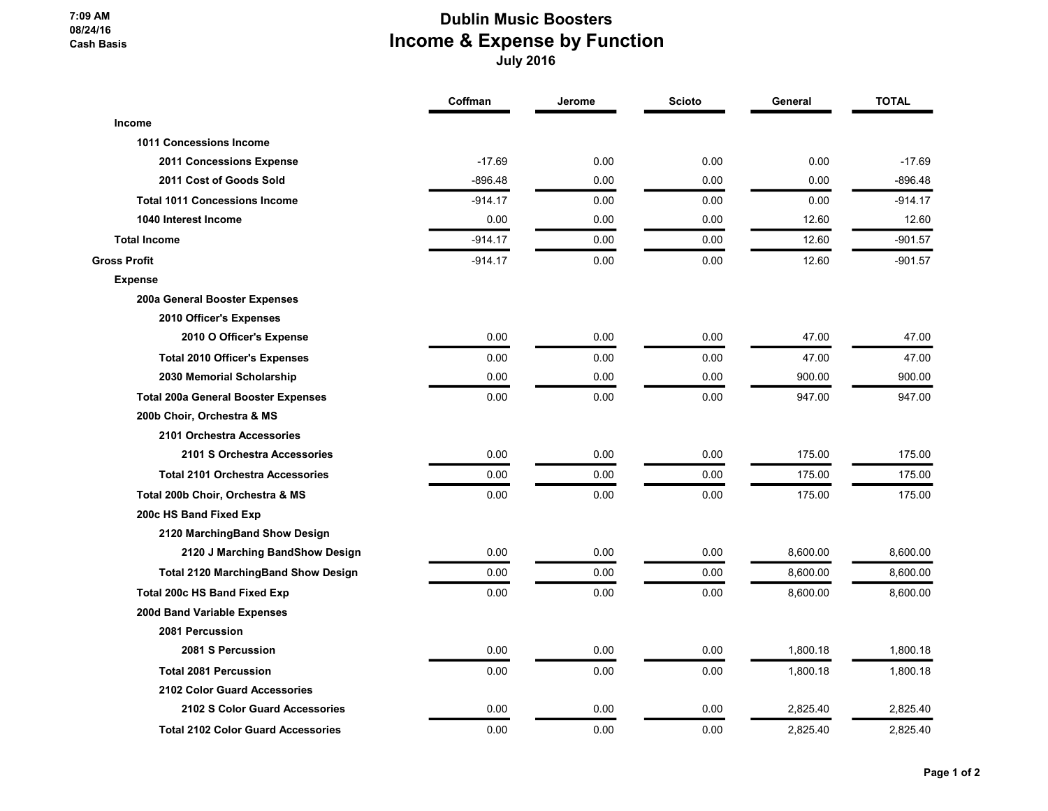7:09 AM 08/24/16 Cash Basis

## Dublin Music Boosters Income & Expense by Function July 2016

|                                            | Coffman   | Jerome | <b>Scioto</b> | General  | <b>TOTAL</b> |
|--------------------------------------------|-----------|--------|---------------|----------|--------------|
| Income                                     |           |        |               |          |              |
| <b>1011 Concessions Income</b>             |           |        |               |          |              |
| 2011 Concessions Expense                   | $-17.69$  | 0.00   | 0.00          | 0.00     | $-17.69$     |
| 2011 Cost of Goods Sold                    | $-896.48$ | 0.00   | 0.00          | 0.00     | $-896.48$    |
| <b>Total 1011 Concessions Income</b>       | $-914.17$ | 0.00   | 0.00          | 0.00     | $-914.17$    |
| 1040 Interest Income                       | 0.00      | 0.00   | 0.00          | 12.60    | 12.60        |
| <b>Total Income</b>                        | $-914.17$ | 0.00   | 0.00          | 12.60    | $-901.57$    |
| <b>Gross Profit</b>                        | $-914.17$ | 0.00   | 0.00          | 12.60    | $-901.57$    |
| <b>Expense</b>                             |           |        |               |          |              |
| 200a General Booster Expenses              |           |        |               |          |              |
| 2010 Officer's Expenses                    |           |        |               |          |              |
| 2010 O Officer's Expense                   | 0.00      | 0.00   | 0.00          | 47.00    | 47.00        |
| <b>Total 2010 Officer's Expenses</b>       | 0.00      | 0.00   | 0.00          | 47.00    | 47.00        |
| 2030 Memorial Scholarship                  | 0.00      | 0.00   | 0.00          | 900.00   | 900.00       |
| <b>Total 200a General Booster Expenses</b> | 0.00      | 0.00   | 0.00          | 947.00   | 947.00       |
| 200b Choir, Orchestra & MS                 |           |        |               |          |              |
| 2101 Orchestra Accessories                 |           |        |               |          |              |
| 2101 S Orchestra Accessories               | 0.00      | 0.00   | 0.00          | 175.00   | 175.00       |
| <b>Total 2101 Orchestra Accessories</b>    | 0.00      | 0.00   | 0.00          | 175.00   | 175.00       |
| Total 200b Choir, Orchestra & MS           | 0.00      | 0.00   | 0.00          | 175.00   | 175.00       |
| 200c HS Band Fixed Exp                     |           |        |               |          |              |
| 2120 MarchingBand Show Design              |           |        |               |          |              |
| 2120 J Marching BandShow Design            | 0.00      | 0.00   | 0.00          | 8,600.00 | 8,600.00     |
| <b>Total 2120 MarchingBand Show Design</b> | 0.00      | 0.00   | 0.00          | 8,600.00 | 8,600.00     |
| <b>Total 200c HS Band Fixed Exp</b>        | 0.00      | 0.00   | 0.00          | 8,600.00 | 8,600.00     |
| 200d Band Variable Expenses                |           |        |               |          |              |
| 2081 Percussion                            |           |        |               |          |              |
| 2081 S Percussion                          | 0.00      | 0.00   | 0.00          | 1,800.18 | 1,800.18     |
| <b>Total 2081 Percussion</b>               | 0.00      | 0.00   | 0.00          | 1,800.18 | 1,800.18     |
| 2102 Color Guard Accessories               |           |        |               |          |              |
| 2102 S Color Guard Accessories             | 0.00      | 0.00   | 0.00          | 2,825.40 | 2,825.40     |
| <b>Total 2102 Color Guard Accessories</b>  | 0.00      | 0.00   | 0.00          | 2,825.40 | 2,825.40     |